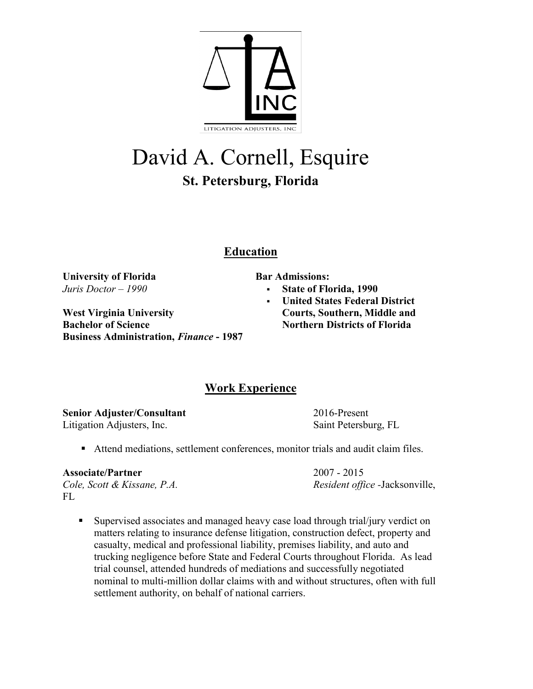

# David A. Cornell, Esquire **St. Petersburg, Florida**

## **Education**

**University of Florida** *Juris Doctor – 1990*

**West Virginia University Bachelor of Science Business Administration,** *Finance* **- 1987** **Bar Admissions:**

- **State of Florida, 1990**
- **United States Federal District Courts, Southern, Middle and Northern Districts of Florida**

## **Work Experience**

**Senior Adjuster/Consultant** 2016-Present Litigation Adjusters, Inc. Saint Petersburg, FL

■ Attend mediations, settlement conferences, monitor trials and audit claim files.

**Associate/Partner** 2007 - 2015

*Cole, Scott & Kissane, P.A. Resident office -*Jacksonville,

- FL
	- Supervised associates and managed heavy case load through trial/jury verdict on matters relating to insurance defense litigation, construction defect, property and casualty, medical and professional liability, premises liability, and auto and trucking negligence before State and Federal Courts throughout Florida. As lead trial counsel, attended hundreds of mediations and successfully negotiated nominal to multi-million dollar claims with and without structures, often with full settlement authority, on behalf of national carriers.